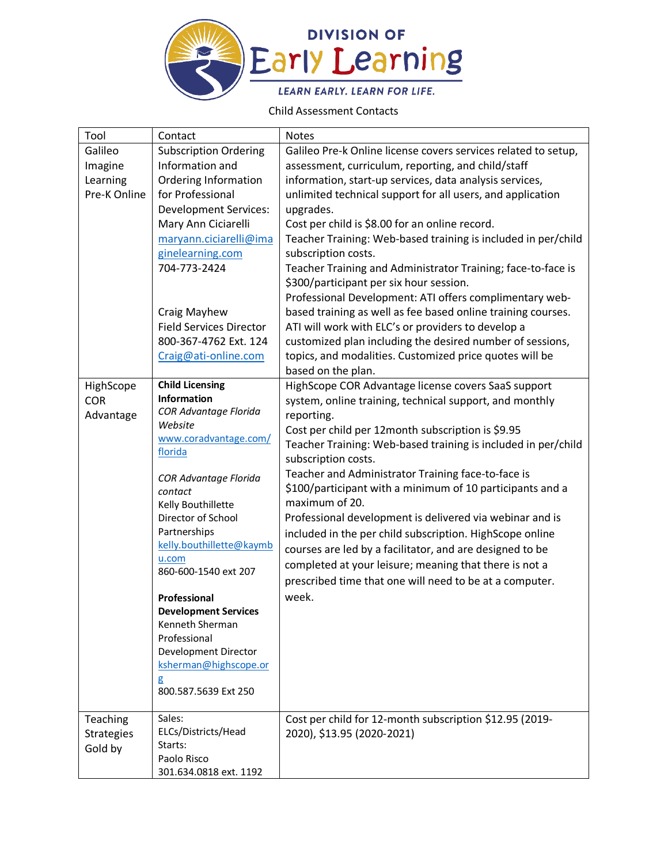

## Child Assessment Contacts

| Tool              | Contact                          | Notes                                                          |
|-------------------|----------------------------------|----------------------------------------------------------------|
| Galileo           | <b>Subscription Ordering</b>     | Galileo Pre-k Online license covers services related to setup, |
| Imagine           | Information and                  | assessment, curriculum, reporting, and child/staff             |
| Learning          | <b>Ordering Information</b>      | information, start-up services, data analysis services,        |
| Pre-K Online      | for Professional                 | unlimited technical support for all users, and application     |
|                   | <b>Development Services:</b>     | upgrades.                                                      |
|                   | Mary Ann Ciciarelli              | Cost per child is \$8.00 for an online record.                 |
|                   | maryann.ciciarelli@ima           | Teacher Training: Web-based training is included in per/child  |
|                   | ginelearning.com                 | subscription costs.                                            |
|                   | 704-773-2424                     | Teacher Training and Administrator Training; face-to-face is   |
|                   |                                  | \$300/participant per six hour session.                        |
|                   |                                  | Professional Development: ATI offers complimentary web-        |
|                   | Craig Mayhew                     | based training as well as fee based online training courses.   |
|                   | <b>Field Services Director</b>   | ATI will work with ELC's or providers to develop a             |
|                   | 800-367-4762 Ext. 124            | customized plan including the desired number of sessions,      |
|                   | Craig@ati-online.com             | topics, and modalities. Customized price quotes will be        |
|                   |                                  | based on the plan.                                             |
| HighScope         | <b>Child Licensing</b>           | HighScope COR Advantage license covers SaaS support            |
| <b>COR</b>        | Information                      | system, online training, technical support, and monthly        |
| Advantage         | COR Advantage Florida            | reporting.                                                     |
|                   | Website                          | Cost per child per 12month subscription is \$9.95              |
|                   | www.coradvantage.com/<br>florida | Teacher Training: Web-based training is included in per/child  |
|                   |                                  | subscription costs.                                            |
|                   | COR Advantage Florida            | Teacher and Administrator Training face-to-face is             |
|                   | contact                          | \$100/participant with a minimum of 10 participants and a      |
|                   | Kelly Bouthillette               | maximum of 20.                                                 |
|                   | Director of School               | Professional development is delivered via webinar and is       |
|                   | Partnerships                     | included in the per child subscription. HighScope online       |
|                   | kelly.bouthillette@kaymb         | courses are led by a facilitator, and are designed to be       |
|                   | u.com                            | completed at your leisure; meaning that there is not a         |
|                   | 860-600-1540 ext 207             | prescribed time that one will need to be at a computer.        |
|                   | Professional                     | week.                                                          |
|                   | <b>Development Services</b>      |                                                                |
|                   | Kenneth Sherman                  |                                                                |
|                   | Professional                     |                                                                |
|                   | Development Director             |                                                                |
|                   | ksherman@highscope.or            |                                                                |
|                   | g                                |                                                                |
|                   | 800.587.5639 Ext 250             |                                                                |
|                   |                                  |                                                                |
| Teaching          | Sales:                           | Cost per child for 12-month subscription \$12.95 (2019-        |
| <b>Strategies</b> | ELCs/Districts/Head              | 2020), \$13.95 (2020-2021)                                     |
| Gold by           | Starts:                          |                                                                |
|                   | Paolo Risco                      |                                                                |
|                   | 301.634.0818 ext. 1192           |                                                                |